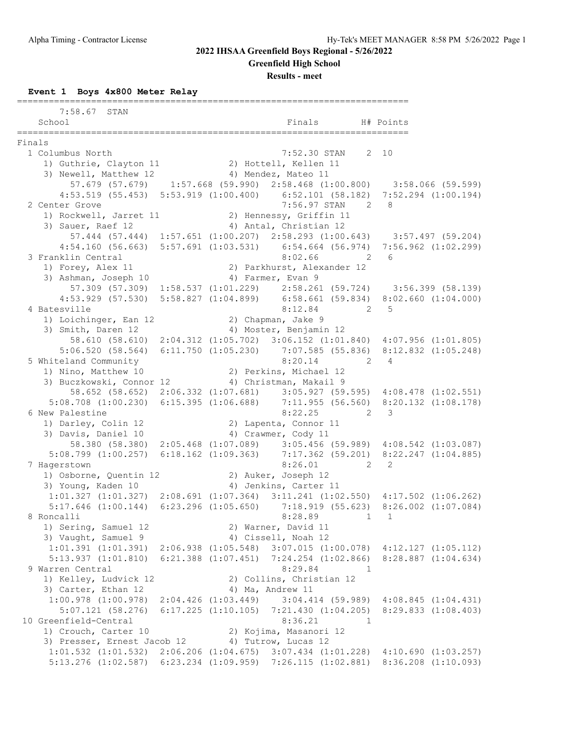**Greenfield High School**

**Results - meet**

**Event 1 Boys 4x800 Meter Relay**

|        | 7:58.67 STAN                                                                                                                                                                              |  |                                                                         |                  |             |  |
|--------|-------------------------------------------------------------------------------------------------------------------------------------------------------------------------------------------|--|-------------------------------------------------------------------------|------------------|-------------|--|
|        | School                                                                                                                                                                                    |  | Finals                                                                  |                  | H# Points   |  |
|        | ===============                                                                                                                                                                           |  |                                                                         |                  |             |  |
| Finals |                                                                                                                                                                                           |  |                                                                         |                  |             |  |
|        | 1 Columbus North                                                                                                                                                                          |  | 7:52.30 STAN 2 10                                                       |                  |             |  |
|        | 1) Guthrie, Clayton 11 2) Hottell, Kellen 11                                                                                                                                              |  |                                                                         |                  |             |  |
|        | 3) Newell, Matthew 12 4) Mendez, Mateo 11                                                                                                                                                 |  |                                                                         |                  |             |  |
|        | 57.679 (57.679) 1:57.668 (59.990) 2:58.468 (1:00.800) 3:58.066 (59.599)                                                                                                                   |  |                                                                         |                  |             |  |
|        | $\texttt{4:53.519}\quad \texttt{(55.453)}\quad \texttt{5:53.919}\quad \texttt{(1:00.400)}\qquad \texttt{6:52.101}\quad \texttt{(58.182)}\quad \texttt{7:52.294}\quad \texttt{(1:00.194)}$ |  |                                                                         |                  |             |  |
|        | 2 Center Grove                                                                                                                                                                            |  | 7:56.97 STAN 2 8                                                        |                  |             |  |
|        | 1) Rockwell, Jarret 11 (2) Hennessy, Griffin 11                                                                                                                                           |  |                                                                         |                  |             |  |
|        | 3) Sauer, Raef 12                                                                                                                                                                         |  | 4) Antal, Christian 12                                                  |                  |             |  |
|        | 57.444 (57.444) 1:57.651 (1:00.207) 2:58.293 (1:00.643) 3:57.497 (59.204)                                                                                                                 |  |                                                                         |                  |             |  |
|        | 4:54.160 (56.663) 5:57.691 (1:03.531) 6:54.664 (56.974) 7:56.962 (1:02.299)                                                                                                               |  |                                                                         |                  |             |  |
|        | 3 Franklin Central                                                                                                                                                                        |  | 8:02.66                                                                 | $\sim$ 2         | - 6         |  |
|        | 1) Forey, Alex 11                                                                                                                                                                         |  | 2) Parkhurst, Alexander 12                                              |                  |             |  |
|        | 3) Ashman, Joseph 10                                                                                                                                                                      |  | 4) Farmer, Evan 9                                                       |                  |             |  |
|        | 57.309 (57.309) 1:58.537 (1:01.229) 2:58.261 (59.724) 3:56.399 (58.139)                                                                                                                   |  |                                                                         |                  |             |  |
|        | 4:53.929 (57.530) 5:58.827 (1:04.899) 6:58.661 (59.834) 8:02.660 (1:04.000)                                                                                                               |  |                                                                         |                  |             |  |
|        | 4 Batesville                                                                                                                                                                              |  | 8:12.84                                                                 | $2 \t 5$         |             |  |
|        | 1) Loichinger, Ean 12<br>3) Smith, Daren 12                                                                                                                                               |  | 2) Chapman, Jake 9<br>4) Moster, Benjamin 12                            |                  |             |  |
|        | 58.610 (58.610) 2:04.312 (1:05.702) 3:06.152 (1:01.840) 4:07.956 (1:01.805)                                                                                                               |  |                                                                         |                  |             |  |
|        | 5:06.520 (58.564) 6:11.750 (1:05.230) 7:07.585 (55.836) 8:12.832 (1:05.248)                                                                                                               |  |                                                                         |                  |             |  |
|        | 5 Whiteland Community                                                                                                                                                                     |  | 8:20.14                                                                 |                  | $2 \quad 4$ |  |
|        | 1) Nino, Matthew 10                                                                                                                                                                       |  | 2) Perkins, Michael 12                                                  |                  |             |  |
|        | 3) Buczkowski, Connor 12 (4) Christman, Makail 9                                                                                                                                          |  |                                                                         |                  |             |  |
|        | 58.652 (58.652) 2:06.332 (1:07.681) 3:05.927 (59.595) 4:08.478 (1:02.551)                                                                                                                 |  |                                                                         |                  |             |  |
|        | $5:08.708$ (1:00.230) 6:15.395 (1:06.688) 7:11.955 (56.560) 8:20.132 (1:08.178)                                                                                                           |  |                                                                         |                  |             |  |
|        | 6 New Palestine                                                                                                                                                                           |  | 8:22.25                                                                 | $\overline{2}$ 3 |             |  |
|        | 1) Darley, Colin 12                                                                                                                                                                       |  | 2) Lapenta, Connor 11                                                   |                  |             |  |
|        | 3) Davis, Daniel 10                                                                                                                                                                       |  | 4) Crawmer, Cody 11                                                     |                  |             |  |
|        | 58.380 (58.380) 2:05.468 (1:07.089) 3:05.456 (59.989) 4:08.542 (1:03.087)                                                                                                                 |  |                                                                         |                  |             |  |
|        | 5:08.799 (1:00.257) 6:18.162 (1:09.363) 7:17.362 (59.201) 8:22.247 (1:04.885)                                                                                                             |  |                                                                         |                  |             |  |
|        | 7 Hagerstown                                                                                                                                                                              |  | 8:26.01                                                                 | $\sim$ 2         | 2           |  |
|        |                                                                                                                                                                                           |  |                                                                         |                  |             |  |
|        | 1) Osborne, Quentin 12 (2) Auker, Joseph 12<br>3) Young, Kaden 10 (4) Jenkins, Carter 11                                                                                                  |  |                                                                         |                  |             |  |
|        | $1:01.327$ (1:01.327) $2:08.691$ (1:07.364) $3:11.241$ (1:02.550) $4:17.502$ (1:06.262)                                                                                                   |  |                                                                         |                  |             |  |
|        | 5:17.646 (1:00.144) 6:23.296 (1:05.650) 7:18.919 (55.623) 8:26.002 (1:07.084)                                                                                                             |  |                                                                         |                  |             |  |
|        | 8 Roncalli                                                                                                                                                                                |  | 8:28.89                                                                 | 1                | 1           |  |
|        | 1) Sering, Samuel 12                                                                                                                                                                      |  | 2) Warner, David 11                                                     |                  |             |  |
|        | 3) Vaught, Samuel 9                                                                                                                                                                       |  | 4) Cissell, Noah 12                                                     |                  |             |  |
|        | $1:01.391$ $(1:01.391)$ $2:06.938$ $(1:05.548)$ $3:07.015$ $(1:00.078)$ $4:12.127$ $(1:05.112)$                                                                                           |  |                                                                         |                  |             |  |
|        | 5:13.937(1:01.810)                                                                                                                                                                        |  | 6:21.388 (1:07.451) 7:24.254 (1:02.866) 8:28.887 (1:04.634)             |                  |             |  |
|        | 9 Warren Central                                                                                                                                                                          |  | 8:29.84                                                                 | 1                |             |  |
|        | 1) Kelley, Ludvick 12                                                                                                                                                                     |  | 2) Collins, Christian 12                                                |                  |             |  |
|        | 3) Carter, Ethan 12                                                                                                                                                                       |  | 4) Ma, Andrew 11                                                        |                  |             |  |
|        | $1:00.978$ $(1:00.978)$                                                                                                                                                                   |  | 2:04.426 (1:03.449) 3:04.414 (59.989) 4:08.845 (1:04.431)               |                  |             |  |
|        | $5:07.121$ (58.276)                                                                                                                                                                       |  | $6:17.225$ $(1:10.105)$ $7:21.430$ $(1:04.205)$ $8:29.833$ $(1:08.403)$ |                  |             |  |
|        | 10 Greenfield-Central                                                                                                                                                                     |  | 8:36.21                                                                 | 1                |             |  |
|        | 1) Crouch, Carter 10                                                                                                                                                                      |  | 2) Kojima, Masanori 12                                                  |                  |             |  |
|        | 3) Presser, Ernest Jacob 12<br>$1:01.532$ $(1:01.532)$ $2:06.206$ $(1:04.675)$ $3:07.434$ $(1:01.228)$ $4:10.690$ $(1:03.257)$                                                            |  | 4) Tutrow, Lucas 12                                                     |                  |             |  |
|        | 5:13.276 (1:02.587) 6:23.234 (1:09.959) 7:26.115 (1:02.881) 8:36.208 (1:10.093)                                                                                                           |  |                                                                         |                  |             |  |
|        |                                                                                                                                                                                           |  |                                                                         |                  |             |  |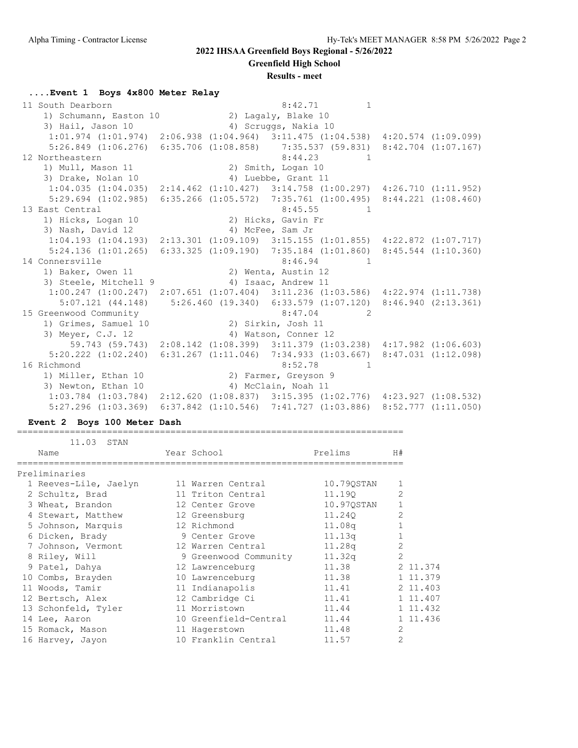**Greenfield High School**

#### **Results - meet**

#### **....Event 1 Boys 4x800 Meter Relay**

11 South Dearborn 1 and 1 and 1 and 1 and 1 and 1 and 1 and 1 and 1 and 1 and 1 and 1 and 1 and 1 and 1 and 1 and 1 and 1 and 1 and 1 and 1 and 1 and 1 and 1 and 1 and 1 and 1 and 1 and 1 and 1 and 1 and 1 and 1 and 1 and 1) Schumann, Easton 10 2) Lagaly, Blake 10 3) Hail, Jason 10 (4) Scruggs, Nakia 10 1:01.974 (1:01.974) 2:06.938 (1:04.964) 3:11.475 (1:04.538) 4:20.574 (1:09.099) 5:26.849 (1:06.276) 6:35.706 (1:08.858) 7:35.537 (59.831) 8:42.704 (1:07.167) 12 Northeastern 8:44.23 1 1) Mull, Mason 11 2) Smith, Logan 10 3) Drake, Nolan 10 4) Luebbe, Grant 11 1:04.035 (1:04.035) 2:14.462 (1:10.427) 3:14.758 (1:00.297) 4:26.710 (1:11.952) 5:29.694 (1:02.985) 6:35.266 (1:05.572) 7:35.761 (1:00.495) 8:44.221 (1:08.460) 13 East Central 2012 2020 12:45.55 1 1) Hicks, Logan 10 2) Hicks, Gavin Fr 3) Nash, David 12 4) McFee, Sam Jr 1:04.193 (1:04.193) 2:13.301 (1:09.109) 3:15.155 (1:01.855) 4:22.872 (1:07.717) 5:24.136 (1:01.265) 6:33.325 (1:09.190) 7:35.184 (1:01.860) 8:45.544 (1:10.360) 14 Connersville 2.46.94 and 2.46.94 1) Baker, Owen 11 2) Wenta, Austin 12 3) Steele, Mitchell 9 4) Isaac, Andrew 11 1:00.247 (1:00.247) 2:07.651 (1:07.404) 3:11.236 (1:03.586) 4:22.974 (1:11.738) 5:07.121 (44.148) 5:26.460 (19.340) 6:33.579 (1:07.120) 8:46.940 (2:13.361) 15 Greenwood Community 8:47.04 2 1) Grimes, Samuel 10 2) Sirkin, Josh 11 3) Meyer, C.J. 12 4) Watson, Conner 12 59.743 (59.743) 2:08.142 (1:08.399) 3:11.379 (1:03.238) 4:17.982 (1:06.603) 5:20.222 (1:02.240) 6:31.267 (1:11.046) 7:34.933 (1:03.667) 8:47.031 (1:12.098) 16 Richmond 8:52.78 1 1) Miller, Ethan 10 2) Farmer, Greyson 9 3) Newton, Ethan 10 4) McClain, Noah 11 1:03.784 (1:03.784) 2:12.620 (1:08.837) 3:15.395 (1:02.776) 4:23.927 (1:08.532) 5:27.296 (1:03.369) 6:37.842 (1:10.546) 7:41.727 (1:03.886) 8:52.777 (1:11.050)

#### **Event 2 Boys 100 Meter Dash**

 11.03 STAN Name The Year School Prelims H# ========================================================================= Preliminaries 1 Reeves-Lile, Jaelyn 11 Warren Central 10.79QSTAN 1 2 Schultz, Brad 11 Triton Central 11.19Q 2 3 Wheat, Brandon 12 Center Grove 10.97QSTAN 1 4 Stewart, Matthew 12 Greensburg 11.240 2 5 Johnson, Marquis 12 Richmond 11.08q 1 6 Dicken, Brady 9 Center Grove 11.13q 1 7 Johnson, Vermont 12 Warren Central 11.28q 2 8 Riley, Will 9 Greenwood Community 11.32q 2 9 Patel, Dahya 12 Lawrenceburg 11.38 2 11.374 10 Combs, Brayden 10 Lawrenceburg 11.38 1 11.379 11 Woods, Tamir 11 Indianapolis 11.41 2 11.403 12 Bertsch, Alex 12 Cambridge Ci 11.41 11.407 13 Schonfeld, Tyler 11 Morristown 11.44 1 11.432 14 Lee, Aaron 10 Greenfield-Central 11.44 11.436 15 Romack, Mason 11 Hagerstown 11.48 2 16 Harvey, Jayon 10 Franklin Central 11.57 2

=========================================================================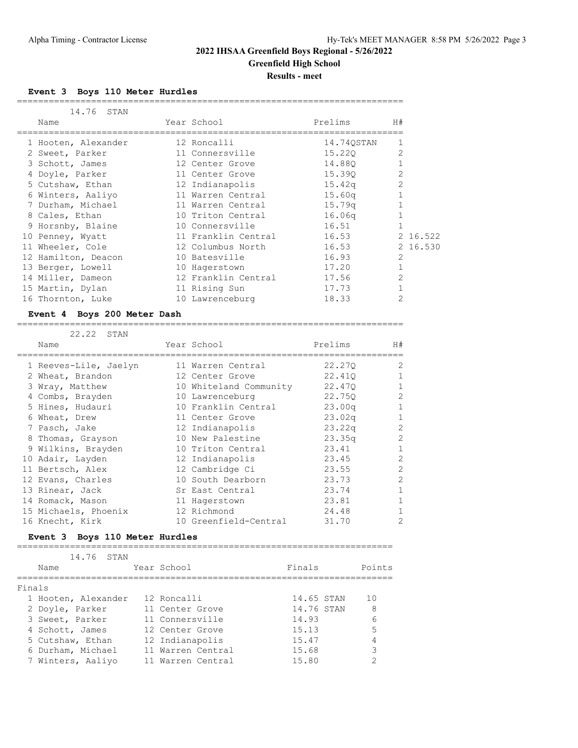**Greenfield High School**

**Results - meet**

#### **Event 3 Boys 110 Meter Hurdles**

| 14.76<br>STAN       |                     |                    |                |          |
|---------------------|---------------------|--------------------|----------------|----------|
| Name                | Year School         | Prelims            | H#             |          |
| 1 Hooten, Alexander | 12 Roncalli         | 14.740STAN         |                |          |
| 2 Sweet, Parker     | 11 Connersville     | 15.220             | 2              |          |
| 3 Schott, James     | 12 Center Grove     | 14.880             |                |          |
| 4 Doyle, Parker     | 11 Center Grove     | 15.390             |                |          |
| 5 Cutshaw, Ethan    | 12 Indianapolis     | 15.42q             |                |          |
| 6 Winters, Aaliyo   | 11 Warren Central   | 15.60 <sub>q</sub> |                |          |
| 7 Durham, Michael   | 11 Warren Central   | 15.79 <sub>q</sub> |                |          |
| 8 Cales, Ethan      | 10 Triton Central   | 16.06q             |                |          |
| 9 Horsnby, Blaine   | 10 Connersville     | 16.51              |                |          |
| 10 Penney, Wyatt    | 11 Franklin Central | 16.53              |                | 2 16.522 |
| 11 Wheeler, Cole    | 12 Columbus North   | 16.53              |                | 2 16.530 |
| 12 Hamilton, Deacon | 10 Batesville       | 16.93              | $\overline{2}$ |          |
| 13 Berger, Lowell   | 10 Hagerstown       | 17.20              |                |          |
| 14 Miller, Dameon   | 12 Franklin Central | 17.56              | $\overline{2}$ |          |
| 15 Martin, Dylan    | 11 Rising Sun       | 17.73              |                |          |
| 16 Thornton, Luke   | 10 Lawrenceburg     | 18.33              | 2              |          |

=========================================================================

#### **Event 4 Boys 200 Meter Dash**

#### =========================================================================

| 22.22 STAN            |                        |         |              |
|-----------------------|------------------------|---------|--------------|
| Name                  | Year School            | Prelims | H#           |
| 1 Reeves-Lile, Jaelyn | 11 Warren Central      | 22,270  | 2            |
| 2 Wheat, Brandon      | 12 Center Grove        | 22,410  |              |
| 3 Wray, Matthew       | 10 Whiteland Community | 22,470  | $\mathbf{1}$ |
| 4 Combs, Brayden      | 10 Lawrenceburg        | 22,750  | 2            |
| 5 Hines, Hudauri      | 10 Franklin Central    | 23.00q  | 1            |
| 6 Wheat, Drew         | 11 Center Grove        | 23.02q  | 1            |
| 7 Pasch, Jake         | 12 Indianapolis        | 23.22q  | 2            |
| 8 Thomas, Grayson     | 10 New Palestine       | 23.35q  | 2            |
| 9 Wilkins, Brayden    | 10 Triton Central      | 23.41   | $\mathbf{1}$ |
| 10 Adair, Layden      | 12 Indianapolis        | 23.45   | 2            |
| 11 Bertsch, Alex      | 12 Cambridge Ci        | 23.55   | 2            |
| 12 Evans, Charles     | 10 South Dearborn      | 23.73   | 2            |
| 13 Rinear, Jack       | Sr East Central        | 23.74   |              |
| 14 Romack, Mason      | 11 Hagerstown          | 23.81   |              |
| 15 Michaels, Phoenix  | 12 Richmond            | 24.48   |              |
| 16 Knecht, Kirk       | 10 Greenfield-Central  | 31.70   | 2            |

#### **Event 3 Boys 110 Meter Hurdles** =======================================================================

|        | 14.76 STAN          |                   |            |        |
|--------|---------------------|-------------------|------------|--------|
|        | Name                | Year School       | Finals     | Points |
| Finals |                     |                   |            |        |
|        |                     |                   |            |        |
|        | 1 Hooten, Alexander | 12 Roncalli       | 14.65 STAN | 10     |
|        | 2 Doyle, Parker     | 11 Center Grove   | 14.76 STAN | 8      |
|        | 3 Sweet, Parker     | 11 Connersville   | 14.93      |        |
|        | 4 Schott, James     | 12 Center Grove   | 15.13      | 5      |
|        | 5 Cutshaw, Ethan    | 12 Indianapolis   | 15.47      |        |
|        | 6 Durham, Michael   | 11 Warren Central | 15.68      | २      |
|        | 7 Winters, Aaliyo   | 11 Warren Central | 15.80      |        |
|        |                     |                   |            |        |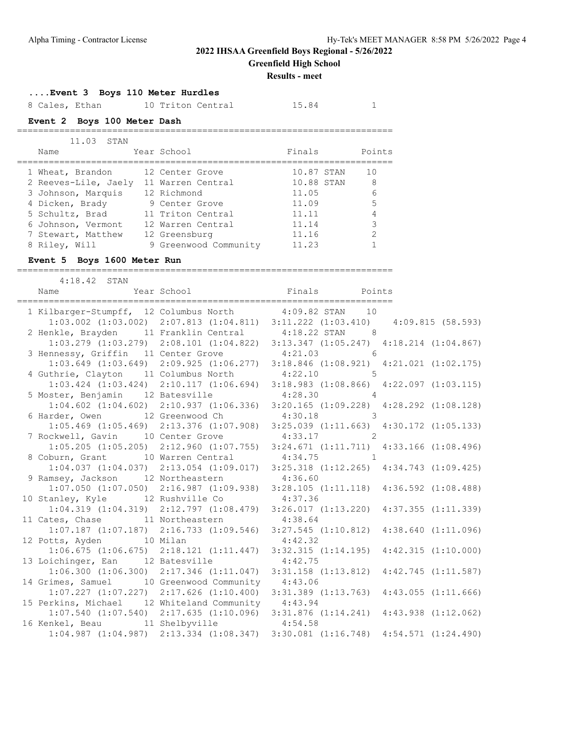**Greenfield High School**

### **Results - meet**

## **....Event 3 Boys 110 Meter Hurdles**

| 8 Cales, Ethan              | 10 Triton Central     | 15.84      |               |
|-----------------------------|-----------------------|------------|---------------|
| Event 2 Boys 100 Meter Dash |                       |            |               |
| 11.03 STAN                  |                       |            |               |
| Name                        | Year School           | Finals     | Points        |
| 1 Wheat, Brandon            | 12 Center Grove       | 10.87 STAN | 10            |
| 2 Reeves-Lile, Jaely        | 11 Warren Central     | 10.88 STAN | 8             |
| 3 Johnson, Marquis          | 12 Richmond           | 11.05      | 6             |
| 4 Dicken, Brady             | 9 Center Grove        | 11.09      | 5             |
| 5 Schultz, Brad             | 11 Triton Central     | 11.11      | 4             |
| 6 Johnson, Vermont          | 12 Warren Central     | 11.14      | 3             |
| 7 Stewart, Matthew          | 12 Greensburg         | 11.16      | $\mathcal{P}$ |
| 8 Riley, Will               | 9 Greenwood Community | 11.23      |               |

### **Event 5 Boys 1600 Meter Run**

=======================================================================

| $4:18.42$ STAN<br>Name Year School Finals Points                                                                                        |         |                                                                                                 |  |
|-----------------------------------------------------------------------------------------------------------------------------------------|---------|-------------------------------------------------------------------------------------------------|--|
|                                                                                                                                         |         |                                                                                                 |  |
| 1 Kilbarger-Stumpff, 12 Columbus North 4:09.82 STAN 10                                                                                  |         |                                                                                                 |  |
|                                                                                                                                         |         | $1:03.002$ $(1:03.002)$ $2:07.813$ $(1:04.811)$ $3:11.222$ $(1:03.410)$ $4:09.815$ $(58.593)$   |  |
|                                                                                                                                         |         |                                                                                                 |  |
| 2 Henkle, Brayden 11 Franklin Central 4:18.22 STAN 8<br>1:03.279 (1:03.279) 2:08.101 (1:04.822) 3:13.347 (1:05.247) 4:18.214 (1:04.867) |         |                                                                                                 |  |
| 3 Hennessy, Griffin 11 Center Grove 4:21.03 6                                                                                           |         |                                                                                                 |  |
|                                                                                                                                         |         | $1:03.649$ $(1:03.649)$ $2:09.925$ $(1:06.277)$ $3:18.846$ $(1:08.921)$ $4:21.021$ $(1:02.175)$ |  |
| 4 Guthrie, Clayton 11 Columbus North 4:22.10 5                                                                                          |         |                                                                                                 |  |
|                                                                                                                                         |         | 1:03.424 (1:03.424) 2:10.117 (1:06.694) 3:18.983 (1:08.866) 4:22.097 (1:03.115)                 |  |
| 5 Moster, Benjamin 12 Batesville 4:28.30 4                                                                                              |         |                                                                                                 |  |
|                                                                                                                                         |         | $1:04.602$ $(1:04.602)$ $2:10.937$ $(1:06.336)$ $3:20.165$ $(1:09.228)$ $4:28.292$ $(1:08.128)$ |  |
| 6 Harder, Owen 12 Greenwood Ch 4:30.18 3                                                                                                |         |                                                                                                 |  |
|                                                                                                                                         |         | 1:05.469 (1:05.469) 2:13.376 (1:07.908) 3:25.039 (1:11.663) 4:30.172 (1:05.133)                 |  |
| 7 Rockwell, Gavin 10 Center Grove 4:33.17 2                                                                                             |         |                                                                                                 |  |
|                                                                                                                                         |         | 1:05.205 (1:05.205) 2:12.960 (1:07.755) 3:24.671 (1:11.711) 4:33.166 (1:08.496)                 |  |
| 8 Coburn, Grant 10 Warren Central 4:34.75 1                                                                                             |         |                                                                                                 |  |
|                                                                                                                                         |         | $1:04.037$ $(1:04.037)$ $2:13.054$ $(1:09.017)$ $3:25.318$ $(1:12.265)$ $4:34.743$ $(1:09.425)$ |  |
| 9 Ramsey, Jackson 12 Northeastern 4:36.60<br>1:07.050 (1:07.050) 2:16.987 (1:09.938) 3:28.105 (1:11.118) 4:36.592 (1:08.488)            |         |                                                                                                 |  |
|                                                                                                                                         |         |                                                                                                 |  |
| 10 Stanley, Kyle 12 Rushville Co 4:37.36                                                                                                |         |                                                                                                 |  |
|                                                                                                                                         |         | $1:04.319$ $(1:04.319)$ $2:12.797$ $(1:08.479)$ $3:26.017$ $(1:13.220)$ $4:37.355$ $(1:11.339)$ |  |
| 11 Cates, Chase 11 Northeastern 4:38.64                                                                                                 |         |                                                                                                 |  |
|                                                                                                                                         |         | $1:07.187$ $(1:07.187)$ $2:16.733$ $(1:09.546)$ $3:27.545$ $(1:10.812)$ $4:38.640$ $(1:11.096)$ |  |
| 12 Potts, Ayden 10 Milan                                                                                                                | 4:42.32 |                                                                                                 |  |
|                                                                                                                                         |         | $1:06.675$ $(1:06.675)$ $2:18.121$ $(1:11.447)$ $3:32.315$ $(1:14.195)$ $4:42.315$ $(1:10.000)$ |  |
| 13 Loichinger, Ean 12 Batesville 4:42.75                                                                                                |         |                                                                                                 |  |
|                                                                                                                                         |         | $1:06.300$ $(1:06.300)$ $2:17.346$ $(1:11.047)$ $3:31.158$ $(1:13.812)$ $4:42.745$ $(1:11.587)$ |  |
| 14 Grimes, Samuel 10 Greenwood Community 4:43.06                                                                                        |         |                                                                                                 |  |
|                                                                                                                                         |         | $1:07.227$ $(1:07.227)$ $2:17.626$ $(1:10.400)$ $3:31.389$ $(1:13.763)$ $4:43.055$ $(1:11.666)$ |  |
| 15 Perkins, Michael 12 Whiteland Community 4:43.94                                                                                      |         |                                                                                                 |  |
|                                                                                                                                         |         | $1:07.540$ (1:07.540) $2:17.635$ (1:10.096) $3:31.876$ (1:14.241) $4:43.938$ (1:12.062)         |  |
| 16 Kenkel, Beau 11 Shelbyville 4:54.58                                                                                                  |         |                                                                                                 |  |
|                                                                                                                                         |         | $1:04.987$ $(1:04.987)$ $2:13.334$ $(1:08.347)$ $3:30.081$ $(1:16.748)$ $4:54.571$ $(1:24.490)$ |  |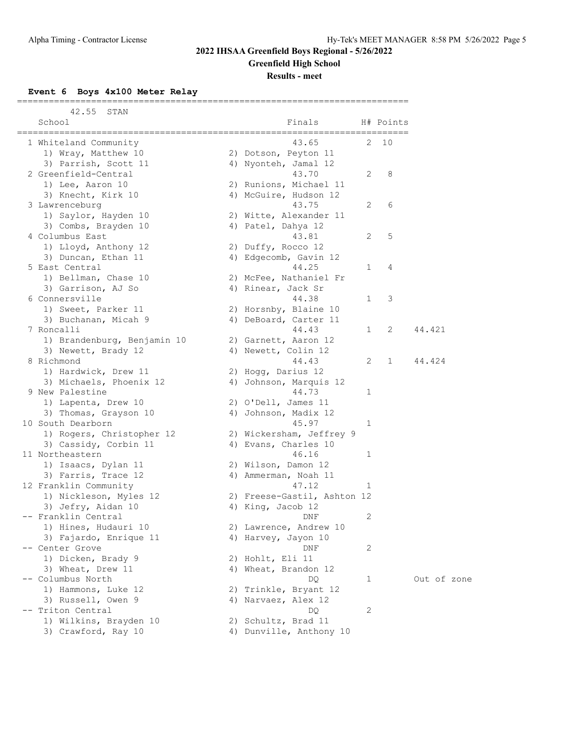**Greenfield High School**

### **Results - meet**

**Event 6 Boys 4x100 Meter Relay**

| 42.55<br>STAN               |                             |              |             |             |
|-----------------------------|-----------------------------|--------------|-------------|-------------|
| School                      | Finals                      |              | H# Points   |             |
| 1 Whiteland Community       | 43.65                       | 2            | 10          |             |
| 1) Wray, Matthew 10         | 2) Dotson, Peyton 11        |              |             |             |
| 3) Parrish, Scott 11        | 4) Nyonteh, Jamal 12        |              |             |             |
| 2 Greenfield-Central        | 43.70                       | 2            | 8           |             |
| 1) Lee, Aaron 10            | 2) Runions, Michael 11      |              |             |             |
| 3) Knecht, Kirk 10          | 4) McGuire, Hudson 12       |              |             |             |
| 3 Lawrenceburg              | 43.75                       | 2            | 6           |             |
| 1) Saylor, Hayden 10        | 2) Witte, Alexander 11      |              |             |             |
| 3) Combs, Brayden 10        | 4) Patel, Dahya 12          |              |             |             |
| 4 Columbus East             | 43.81                       | 2            | 5           |             |
| 1) Lloyd, Anthony 12        | 2) Duffy, Rocco 12          |              |             |             |
| 3) Duncan, Ethan 11         | 4) Edgecomb, Gavin 12       |              |             |             |
| 5 East Central              | 44.25                       | 1            | 4           |             |
| 1) Bellman, Chase 10        | 2) McFee, Nathaniel Fr      |              |             |             |
| 3) Garrison, AJ So          | 4) Rinear, Jack Sr          |              |             |             |
| 6 Connersville              | 44.38                       | 1            | 3           |             |
| 1) Sweet, Parker 11         | 2) Horsnby, Blaine 10       |              |             |             |
| 3) Buchanan, Micah 9        | 4) DeBoard, Carter 11       |              |             |             |
| 7 Roncalli                  | 44.43                       | $\mathbf{1}$ | 2           | 44.421      |
| 1) Brandenburg, Benjamin 10 | 2) Garnett, Aaron 12        |              |             |             |
| 3) Newett, Brady 12         | 4) Newett, Colin 12         |              |             |             |
| 8 Richmond                  | 44.43                       | 2            | $\mathbf 1$ | 44.424      |
| 1) Hardwick, Drew 11        | 2) Hogg, Darius 12          |              |             |             |
| 3) Michaels, Phoenix 12     | 4) Johnson, Marquis 12      |              |             |             |
| 9 New Palestine             | 44.73                       | 1            |             |             |
| 1) Lapenta, Drew 10         | 2) O'Dell, James 11         |              |             |             |
| 3) Thomas, Grayson 10       | 4) Johnson, Madix 12        |              |             |             |
| 10 South Dearborn           | 45.97                       | 1            |             |             |
| 1) Rogers, Christopher 12   | 2) Wickersham, Jeffrey 9    |              |             |             |
| 3) Cassidy, Corbin 11       | 4) Evans, Charles 10        |              |             |             |
| 11 Northeastern             | 46.16                       | 1            |             |             |
| 1) Isaacs, Dylan 11         | 2) Wilson, Damon 12         |              |             |             |
| 3) Farris, Trace 12         | 4) Ammerman, Noah 11        |              |             |             |
| 12 Franklin Community       | 47.12                       | 1            |             |             |
| 1) Nickleson, Myles 12      | 2) Freese-Gastil, Ashton 12 |              |             |             |
| 3) Jefry, Aidan 10          | 4) King, Jacob 12           |              |             |             |
| -- Franklin Central         | DNF                         | 2            |             |             |
| 1) Hines, Hudauri 10        | 2) Lawrence, Andrew 10      |              |             |             |
| 3) Fajardo, Enrique 11      | 4) Harvey, Jayon 10         |              |             |             |
| -- Center Grove             | DNF                         | 2            |             |             |
| 1) Dicken, Brady 9          | 2) Hohlt, Eli 11            |              |             |             |
| 3) Wheat, Drew 11           | 4) Wheat, Brandon 12        |              |             |             |
| -- Columbus North           | DQ.                         | 1            |             | Out of zone |
| 1) Hammons, Luke 12         | 2) Trinkle, Bryant 12       |              |             |             |
| 3) Russell, Owen 9          | 4) Narvaez, Alex 12         |              |             |             |
| -- Triton Central           | DQ                          | 2            |             |             |
| 1) Wilkins, Brayden 10      | 2) Schultz, Brad 11         |              |             |             |
| 3) Crawford, Ray 10         | 4) Dunville, Anthony 10     |              |             |             |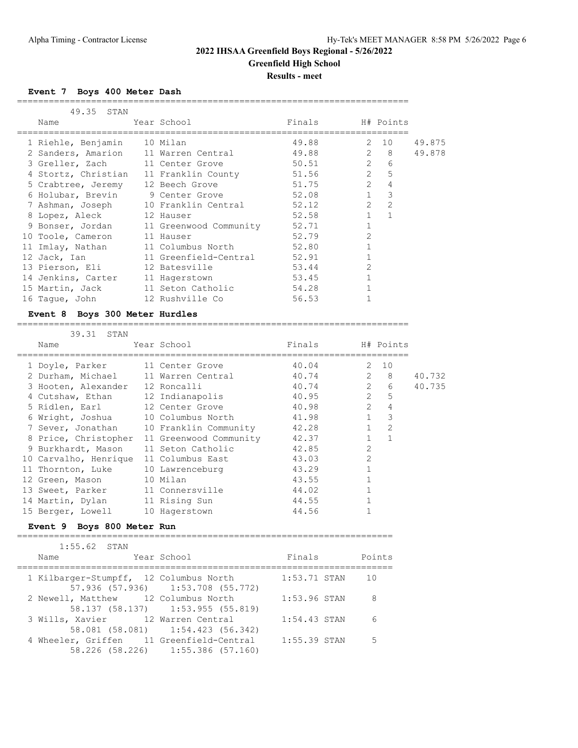### **2022 IHSAA Greenfield Boys Regional - 5/26/2022 Greenfield High School**

**Results - meet**

**Event 7 Boys 400 Meter Dash**

| 49.35<br>STAN                        |                           |        |                |                |        |
|--------------------------------------|---------------------------|--------|----------------|----------------|--------|
| Name                                 | Year School               | Finals |                | H# Points      |        |
|                                      |                           |        |                | 2 10           |        |
| 1 Riehle, Benjamin                   | 10 Milan                  | 49.88  |                |                | 49.875 |
| 2 Sanders, Amarion 11 Warren Central |                           | 49.88  | $2 \t 8$       |                | 49.878 |
| 3 Greller, Zach                      | 11 Center Grove           | 50.51  | $\overline{2}$ | 6              |        |
| 4 Stortz, Christian                  | 11 Franklin County        | 51.56  | $\overline{2}$ | 5              |        |
| 5 Crabtree, Jeremy                   | 12 Beech Grove            | 51.75  | $\overline{2}$ | 4              |        |
| 6 Holubar, Brevin 9 Center Grove     |                           | 52.08  |                | 3              |        |
| 7 Ashman, Joseph                     | 10 Franklin Central 52.12 |        | $\overline{2}$ | $\overline{2}$ |        |
| 8 Lopez, Aleck                       | 12 Hauser                 | 52.58  | $\mathbf{1}$   | $\mathbf{1}$   |        |
| 9 Bonser, Jordan                     | 11 Greenwood Community    | 52.71  |                |                |        |
| 10 Toole, Cameron                    | 11 Hauser                 | 52.79  | $\overline{2}$ |                |        |
| 11 Imlay, Nathan                     | 11 Columbus North         | 52.80  |                |                |        |
| 12 Jack, Ian                         | 11 Greenfield-Central     | 52.91  |                |                |        |
| 13 Pierson, Eli                      | 12 Batesville             | 53.44  | $\mathfrak{D}$ |                |        |
| 14 Jenkins, Carter                   | 11 Hagerstown             | 53.45  |                |                |        |
| 15 Martin, Jack                      | 11 Seton Catholic         | 54.28  |                |                |        |
| 16 Taque, John                       | 12 Rushville Co           | 56.53  |                |                |        |

==========================================================================

#### **Event 8 Boys 300 Meter Hurdles**

========================================================================== 39.31 STAN

| Name                  | 77. کا 17. کرد.            | Year School            | Finals |                | H# Points      |        |
|-----------------------|----------------------------|------------------------|--------|----------------|----------------|--------|
|                       |                            |                        |        |                |                |        |
| 1 Doyle, Parker       |                            | 11 Center Grove        | 40.04  |                | $2 \t10$       |        |
| 2 Durham, Michael     |                            | 11 Warren Central      | 40.74  | $\overline{2}$ | 8              | 40.732 |
| 3 Hooten, Alexander   |                            | 12 Roncalli            | 40.74  | $\overline{2}$ | 6              | 40.735 |
| 4 Cutshaw, Ethan      |                            | 12 Indianapolis        | 40.95  | $\overline{2}$ | $\overline{5}$ |        |
| 5 Ridlen, Earl        |                            | 12 Center Grove        | 40.98  | $\overline{2}$ | $\overline{4}$ |        |
| 6 Wright, Joshua      |                            | 10 Columbus North      | 41.98  | $\mathbf{1}$   | 3              |        |
| 7 Sever, Jonathan     |                            | 10 Franklin Community  | 42.28  | $\mathbf{1}$   | $\overline{2}$ |        |
| 8 Price, Christopher  |                            | 11 Greenwood Community | 42.37  | $\mathbf{1}$   | $\mathbf{1}$   |        |
| 9 Burkhardt, Mason    |                            | 11 Seton Catholic      | 42.85  | $\overline{2}$ |                |        |
| 10 Carvalho, Henrique |                            | 11 Columbus East       | 43.03  | $\overline{2}$ |                |        |
| 11 Thornton, Luke     |                            | 10 Lawrenceburg        | 43.29  |                |                |        |
| 12 Green, Mason       |                            | 10 Milan               | 43.55  |                |                |        |
| 13 Sweet, Parker      |                            | 11 Connersville        | 44.02  |                |                |        |
| 14 Martin, Dylan      |                            | 11 Rising Sun          | 44.55  |                |                |        |
| 15 Berger, Lowell     |                            | 10 Hagerstown          | 44.56  |                |                |        |
|                       | Event 9 Boys 800 Meter Run |                        |        |                |                |        |

======================================================================= 1:55.62 STAN Name Year School Finals Points ======================================================================= 1 Kilbarger-Stumpff, 12 Columbus North 1:53.71 STAN 10 57.936 (57.936) 1:53.708 (55.772) 2 Newell, Matthew 12 Columbus North 1:53.96 STAN 8 58.137 (58.137) 1:53.955 (55.819) 3 Wills, Xavier 12 Warren Central 1:54.43 STAN 6 58.081 (58.081) 1:54.423 (56.342) 4 Wheeler, Griffen 11 Greenfield-Central 1:55.39 STAN 5 58.226 (58.226) 1:55.386 (57.160)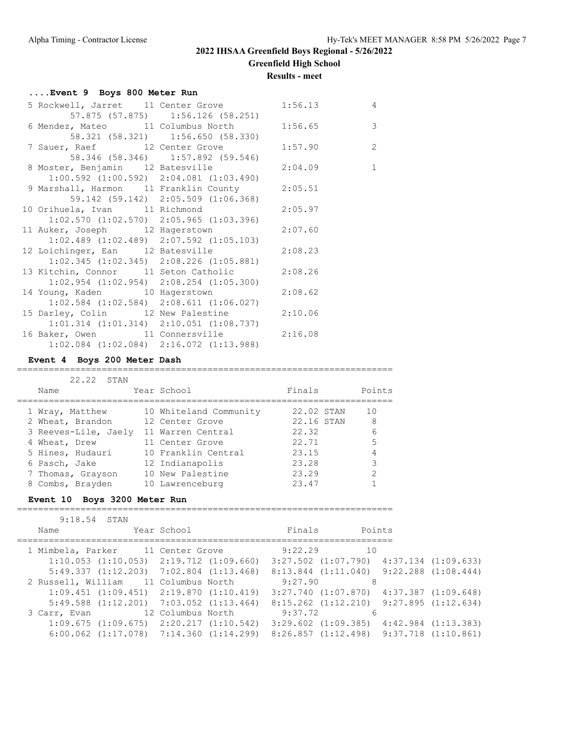**Greenfield High School**

#### **Results - meet**

### **....Event 9 Boys 800 Meter Run**

|  | 5 Rockwell, Jarret 11 Center Grove 1:56.13                                                |                                                                        |         | $\overline{4}$ |
|--|-------------------------------------------------------------------------------------------|------------------------------------------------------------------------|---------|----------------|
|  | 6 Mendez, Mateo 11 Columbus North 1:56.65                                                 | 57.875 (57.875) 1:56.126 (58.251)<br>58.321 (58.321) 1:56.650 (58.330) |         | $\overline{3}$ |
|  | 7 Sauer, Raef 12 Center Grove 1:57.90                                                     | 58.346 (58.346) 1:57.892 (59.546)                                      |         | $\overline{c}$ |
|  | 8 Moster, Benjamin 12 Batesville 2:04.09                                                  | $1:00.592$ $(1:00.592)$ $2:04.081$ $(1:03.490)$                        |         | $\mathbf{1}$   |
|  | 9 Marshall, Harmon 11 Franklin County 2:05.51                                             | 59.142 (59.142) 2:05.509 (1:06.368)                                    |         |                |
|  | 10 Orihuela, Ivan 11 Richmond 2:05.97                                                     |                                                                        |         |                |
|  | $1:02.570$ $(1:02.570)$ $2:05.965$ $(1:03.396)$<br>11 Auker, Joseph 12 Hagerstown         |                                                                        | 2:07.60 |                |
|  | $1:02.489$ $(1:02.489)$ $2:07.592$ $(1:05.103)$<br>12 Loichinger, Ean 12 Batesville       |                                                                        | 2:08.23 |                |
|  | 13 Kitchin, Connor 11 Seton Catholic 2:08.26                                              | $1:02.345$ $(1:02.345)$ $2:08.226$ $(1:05.881)$                        |         |                |
|  | 14 Young, Kaden 10 Hagerstown 2:08.62                                                     | $1:02.954$ $(1:02.954)$ $2:08.254$ $(1:05.300)$                        |         |                |
|  | $1:02.584$ (1:02.584) 2:08.611 (1:06.027)<br>15 Darley, Colin 12 New Palestine 2:10.06    |                                                                        |         |                |
|  | $1:01.314$ $(1:01.314)$ $2:10.051$ $(1:08.737)$<br>16 Baker, Owen 11 Connersville 2:16.08 | $1:02.084$ $(1:02.084)$ $2:16.072$ $(1:13.988)$                        |         |                |
|  |                                                                                           |                                                                        |         |                |

### **Event 4 Boys 200 Meter Dash**

#### =======================================================================

| 22.22 STAN           |                        |            |        |
|----------------------|------------------------|------------|--------|
| Name                 | Year School            | Finals     | Points |
| 1 Wray, Matthew      | 10 Whiteland Community | 22.02 STAN | 10     |
| 2 Wheat, Brandon     | 12 Center Grove        | 22.16 STAN | 8      |
| 3 Reeves-Lile, Jaely | 11 Warren Central      | 22.32      | 6      |
| 4 Wheat, Drew        | 11 Center Grove        | 22.71      | 5      |
| 5 Hines, Hudauri     | 10 Franklin Central    | 23.15      | 4      |
| 6 Pasch, Jake        | 12 Indianapolis        | 23.28      | 3      |
| 7 Thomas, Grayson    | 10 New Palestine       | 23.29      | 2      |
| 8 Combs, Brayden     | 10 Lawrenceburg        | 23.47      |        |

# **Event 10 Boys 3200 Meter Run**

#### =======================================================================

| $9:18.54$ STAN |                                                                                                 |                                                 |        |  |
|----------------|-------------------------------------------------------------------------------------------------|-------------------------------------------------|--------|--|
| Name           | Year School                                                                                     | Finals                                          | Points |  |
|                | 1 Mimbela, Parker 11 Center Grove 9:22.29                                                       |                                                 | 1 O    |  |
|                | $1:10.053$ $(1:10.053)$ $2:19.712$ $(1:09.660)$                                                 | $3:27.502$ $(1:07.790)$ $4:37.134$ $(1:09.633)$ |        |  |
|                | $5:49.337$ $(1:12.203)$ $7:02.804$ $(1:13.468)$ $8:13.844$ $(1:11.040)$ $9:22.288$ $(1:08.444)$ |                                                 |        |  |
|                | 2 Russell, William 11 Columbus North 9:27.90                                                    |                                                 | 8      |  |
|                | $1:09.451$ $(1:09.451)$ $2:19.870$ $(1:10.419)$                                                 | $3:27.740$ $(1:07.870)$ $4:37.387$ $(1:09.648)$ |        |  |
|                | $5:49.588$ $(1:12.201)$ $7:03.052$ $(1:13.464)$                                                 | $8:15.262$ $(1:12.210)$ $9:27.895$ $(1:12.634)$ |        |  |
|                | 3 Carr, Evan 12 Columbus North 9:37.72                                                          |                                                 | 6      |  |
|                | $1:09.675$ $(1:09.675)$ $2:20.217$ $(1:10.542)$ $3:29.602$ $(1:09.385)$ $4:42.984$ $(1:13.383)$ |                                                 |        |  |
|                | $6:00.062$ $(1:17.078)$ $7:14.360$ $(1:14.299)$ $8:26.857$ $(1:12.498)$ $9:37.718$ $(1:10.861)$ |                                                 |        |  |
|                |                                                                                                 |                                                 |        |  |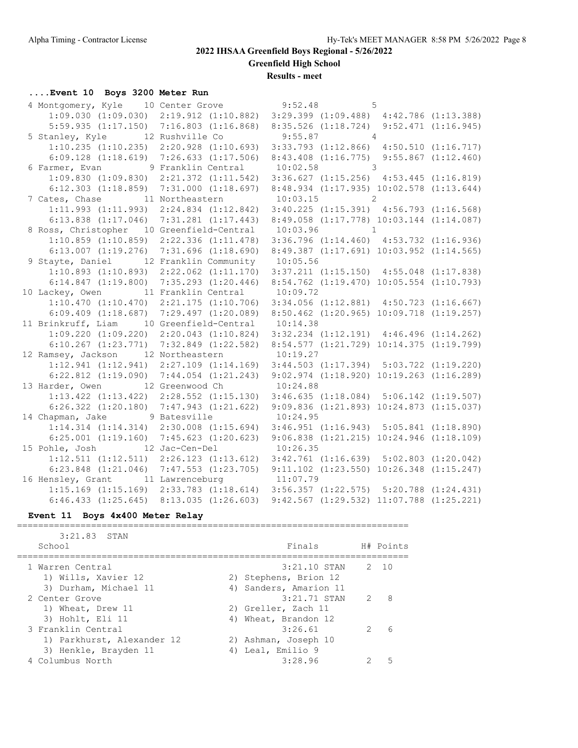**Greenfield High School**

**Results - meet**

## **....Event 10 Boys 3200 Meter Run**

| 4 Montgomery, Kyle 10 Center Grove 9:52.48                                                       |                                          | 5 |  |
|--------------------------------------------------------------------------------------------------|------------------------------------------|---|--|
| 1:09.030 (1:09.030) 2:19.912 (1:10.882) 3:29.399 (1:09.488) 4:42.786 (1:13.388)                  |                                          |   |  |
| 5:59.935 (1:17.150) 7:16.803 (1:16.868) 8:35.526 (1:18.724) 9:52.471 (1:16.945)                  |                                          |   |  |
| 5 Stanley, Kyle 12 Rushville Co                                                                  | $9:55.87$ 4                              |   |  |
| 1:10.235 (1:10.235) 2:20.928 (1:10.693) 3:33.793 (1:12.866) 4:50.510 (1:16.717)                  |                                          |   |  |
| $6:09.128$ $(1:18.619)$ $7:26.633$ $(1:17.506)$ $8:43.408$ $(1:16.775)$ $9:55.867$ $(1:12.460)$  |                                          |   |  |
| 6 Farmer, Evan 9 Franklin Central 10:02.58 3                                                     |                                          |   |  |
| 1:09.830 (1:09.830) 2:21.372 (1:11.542) 3:36.627 (1:15.256) 4:53.445 (1:16.819)                  |                                          |   |  |
| 6:12.303 (1:18.859) 7:31.000 (1:18.697) 8:48.934 (1:17.935) 10:02.578 (1:13.644)                 |                                          |   |  |
| 7 Cates, Chase $11$ Northeastern $10:03.15$ 2                                                    |                                          |   |  |
| 1:11.993 (1:11.993) 2:24.834 (1:12.842) 3:40.225 (1:15.391) 4:56.793 (1:16.568)                  |                                          |   |  |
| 6:13.838 (1:17.046) 7:31.281 (1:17.443) 8:49.058 (1:17.778) 10:03.144 (1:14.087)                 |                                          |   |  |
| 8 Ross, Christopher 10 Greenfield-Central 10:03.96 1                                             |                                          |   |  |
| 1:10.859 (1:10.859) 2:22.336 (1:11.478) 3:36.796 (1:14.460) 4:53.732 (1:16.936)                  |                                          |   |  |
| $6:13.007$ $(1:19.276)$ $7:31.696$ $(1:18.690)$                                                  | 8:49.387 (1:17.691) 10:03.952 (1:14.565) |   |  |
| 9 Stayte, Daniel 12 Franklin Community                                                           | 10:05.56                                 |   |  |
| $1:10.893$ $(1:10.893)$ $2:22.062$ $(1:11.170)$ $3:37.211$ $(1:15.150)$ $4:55.048$ $(1:17.838)$  |                                          |   |  |
| 6:14.847 (1:19.800) 7:35.293 (1:20.446) 8:54.762 (1:19.470) 10:05.554 (1:10.793)                 |                                          |   |  |
| 10 Lackey, Owen 11 Franklin Central 10:09.72                                                     |                                          |   |  |
| $1:10.470$ $(1:10.470)$ $2:21.175$ $(1:10.706)$ $3:34.056$ $(1:12.881)$ $4:50.723$ $(1:16.667)$  |                                          |   |  |
| 6:09.409 (1:18.687) 7:29.497 (1:20.089) 8:50.462 (1:20.965) 10:09.718 (1:19.257)                 |                                          |   |  |
| 11 Brinkruff, Liam 10 Greenfield-Central                                                         | 10:14.38                                 |   |  |
| $1:09.220$ $(1:09.220)$ $2:20.043$ $(1:10.824)$ $3:32.234$ $(1:12.191)$ $4:46.496$ $(1:14.262)$  |                                          |   |  |
| 6:10.267 (1:23.771) 7:32.849 (1:22.582) 8:54.577 (1:21.729) 10:14.375 (1:19.799)                 |                                          |   |  |
| 12 Ramsey, Jackson 12 Northeastern 10:19.27                                                      |                                          |   |  |
| 1:12.941 (1:12.941) 2:27.109 (1:14.169) 3:44.503 (1:17.394) 5:03.722 (1:19.220)                  |                                          |   |  |
| 6:22.812 (1:19.090) 7:44.054 (1:21.243) 9:02.974 (1:18.920) 10:19.263 (1:16.289)                 |                                          |   |  |
| 13 Harder, Owen 12 Greenwood Ch 10:24.88                                                         |                                          |   |  |
| 1:13.422 (1:13.422) 2:28.552 (1:15.130) 3:46.635 (1:18.084) 5:06.142 (1:19.507)                  |                                          |   |  |
| 6:26.322 (1:20.180) 7:47.943 (1:21.622) 9:09.836 (1:21.893) 10:24.873 (1:15.037)                 |                                          |   |  |
| 14 Chapman, Jake 9 Batesville 10:24.95                                                           |                                          |   |  |
| 1:14.314 (1:14.314) 2:30.008 (1:15.694) 3:46.951 (1:16.943) 5:05.841 (1:18.890)                  |                                          |   |  |
| $6:25.001$ $(1:19.160)$ $7:45.623$ $(1:20.623)$ $9:06.838$ $(1:21.215)$ $10:24.946$ $(1:18.109)$ |                                          |   |  |
| 15 Pohle, Josh 12 Jac-Cen-Del 10:26.35                                                           |                                          |   |  |
| 1:12.511 (1:12.511) 2:26.123 (1:13.612) 3:42.761 (1:16.639) 5:02.803 (1:20.042)                  |                                          |   |  |
| $6:23.848$ $(1:21.046)$ $7:47.553$ $(1:23.705)$ $9:11.102$ $(1:23.550)$ $10:26.348$ $(1:15.247)$ |                                          |   |  |
| 16 Hensley, Grant 11 Lawrenceburg 11:07.79                                                       |                                          |   |  |
| 1:15.169 (1:15.169) 2:33.783 (1:18.614) 3:56.357 (1:22.575) 5:20.788 (1:24.431)                  |                                          |   |  |
| 6:46.433 (1:25.645) 8:13.035 (1:26.603) 9:42.567 (1:29.532) 11:07.788 (1:25.221)                 |                                          |   |  |

#### **Event 11 Boys 4x400 Meter Relay**

| $3:21.83$ STAN<br>School                | Finals                                  |               | H# Points |
|-----------------------------------------|-----------------------------------------|---------------|-----------|
| 1 Warren Central<br>1) Wills, Xavier 12 | $3:21.10$ STAN<br>2) Stephens, Brion 12 |               | 2 10      |
| 3) Durham, Michael 11                   | 4) Sanders, Amarion 11                  |               |           |
| 2 Center Grove                          | $3:21.71$ STAN                          | $\mathcal{L}$ | - 8       |
| 1) Wheat, Drew 11                       | 2) Greller, Zach 11                     |               |           |
| 3) Hohlt, Eli 11                        | 4) Wheat, Brandon 12                    |               |           |
| 3 Franklin Central                      | 3:26.61                                 | $\mathcal{P}$ | 6         |
| 1) Parkhurst, Alexander 12              | 2) Ashman, Joseph 10                    |               |           |
| 3) Henkle, Brayden 11                   | 4) Leal, Emilio 9                       |               |           |
| 4 Columbus North                        | 3:28.96                                 |               |           |
|                                         |                                         |               |           |

==========================================================================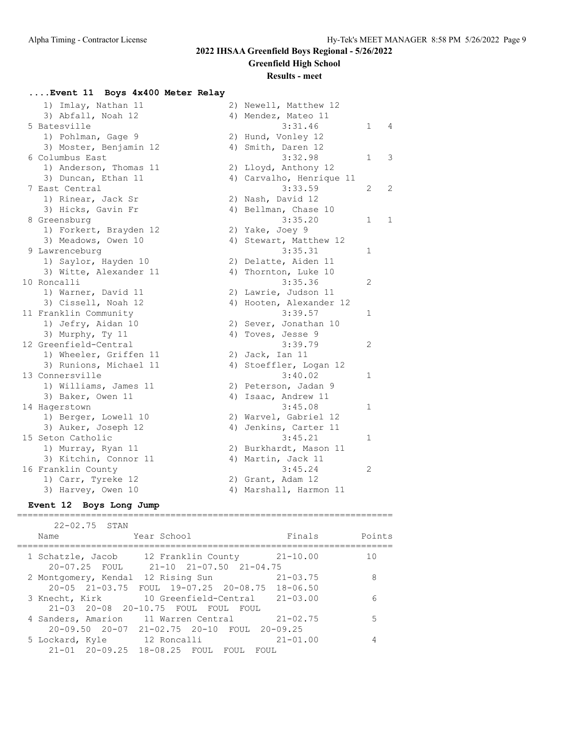**Greenfield High School**

### **Results - meet**

## **....Event 11 Boys 4x400 Meter Relay**

| 1) Imlay, Nathan 11    | 2) Newell, Matthew 12    |              |                |
|------------------------|--------------------------|--------------|----------------|
| 3) Abfall, Noah 12     | 4) Mendez, Mateo 11      |              |                |
| 5 Batesville           | 3:31.46                  | $\mathbf{1}$ | $\overline{4}$ |
| 1) Pohlman, Gage 9     | 2) Hund, Vonley 12       |              |                |
| 3) Moster, Benjamin 12 | 4) Smith, Daren 12       |              |                |
| 6 Columbus East        | 3:32.98                  | $\mathbf{1}$ | 3              |
| 1) Anderson, Thomas 11 | 2) Lloyd, Anthony 12     |              |                |
| 3) Duncan, Ethan 11    | 4) Carvalho, Henrique 11 |              |                |
| 7 East Central         | 3:33.59                  | $\mathbf{2}$ | 2              |
| 1) Rinear, Jack Sr     | 2) Nash, David 12        |              |                |
| 3) Hicks, Gavin Fr     | 4) Bellman, Chase 10     |              |                |
| 8 Greensburg           | 3:35.20                  | 1            | $\mathbf{1}$   |
| 1) Forkert, Brayden 12 | 2) Yake, Joey 9          |              |                |
| 3) Meadows, Owen 10    | 4) Stewart, Matthew 12   |              |                |
| 9 Lawrenceburg         | 3:35.31                  | 1            |                |
| 1) Saylor, Hayden 10   | 2) Delatte, Aiden 11     |              |                |
| 3) Witte, Alexander 11 | 4) Thornton, Luke 10     |              |                |
| 10 Roncalli            | 3:35.36                  | 2            |                |
| 1) Warner, David 11    | 2) Lawrie, Judson 11     |              |                |
| 3) Cissell, Noah 12    | 4) Hooten, Alexander 12  |              |                |
| 11 Franklin Community  | 3:39.57                  | 1            |                |
| 1) Jefry, Aidan 10     | 2) Sever, Jonathan 10    |              |                |
| 3) Murphy, Ty 11       | 4) Toves, Jesse 9        |              |                |
| 12 Greenfield-Central  | 3:39.79                  | 2            |                |
| 1) Wheeler, Griffen 11 | 2) Jack, Ian 11          |              |                |
| 3) Runions, Michael 11 | 4) Stoeffler, Logan 12   |              |                |
| 13 Connersville        | 3:40.02                  | 1            |                |
| 1) Williams, James 11  | 2) Peterson, Jadan 9     |              |                |
| 3) Baker, Owen 11      | 4) Isaac, Andrew 11      |              |                |
| 14 Hagerstown          | 3:45.08                  | $\mathbf{1}$ |                |
| 1) Berger, Lowell 10   | 2) Warvel, Gabriel 12    |              |                |
| 3) Auker, Joseph 12    | 4) Jenkins, Carter 11    |              |                |
| 15 Seton Catholic      | 3:45.21                  | $\mathbf{1}$ |                |
| 1) Murray, Ryan 11     | 2) Burkhardt, Mason 11   |              |                |
| 3) Kitchin, Connor 11  | 4) Martin, Jack 11       |              |                |
| 16 Franklin County     | 3:45.24                  | 2            |                |
| 1) Carr, Tyreke 12     | 2) Grant, Adam 12        |              |                |
| 3) Harvey, Owen 10     | 4) Marshall, Harmon 11   |              |                |

#### **Event 12 Boys Long Jump** =======================================================================

| $22 - 02.75$ STAN                                                                                    |        |
|------------------------------------------------------------------------------------------------------|--------|
| Finals<br>Year School<br>Name                                                                        | Points |
| $21 - 10.00$<br>1 Schatzle, Jacob 12 Franklin County                                                 | 10     |
| $20 - 07.25$ FOUL<br>21-10 21-07.50 21-04.75<br>$21 - 03.75$<br>2 Montgomery, Kendal 12 Rising Sun   | 8      |
| 20-05 21-03.75 FOUL 19-07.25 20-08.75 18-06.50<br>10 Greenfield-Central 21-03.00<br>3 Knecht, Kirk   | 6      |
| 21-03 20-08 20-10.75 FOUL FOUL<br>FOUL.<br>4 Sanders, Amarion 11 Warren Central 21-02.75             | 5      |
| $20-09.50$ $20-07$ $21-02.75$ $20-10$ FOUL $20-09.25$<br>$21 - 01.00$<br>5 Lockard, Kyle 12 Roncalli | 4      |
| 21-01 20-09.25 18-08.25 FOUL<br>FOUL<br>FOUL.                                                        |        |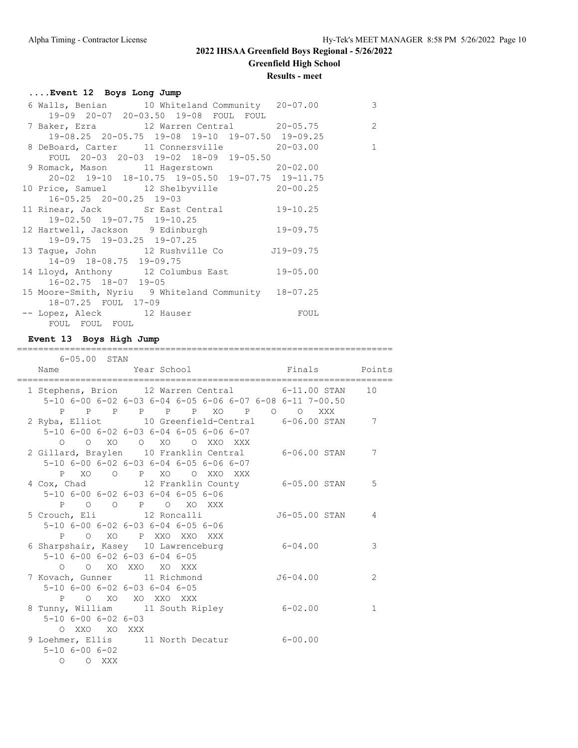## **2022 IHSAA Greenfield Boys Regional - 5/26/2022 Greenfield High School Results - meet**

## **....Event 12 Boys Long Jump**

| 6 Walls, Benian 10 Whiteland Community 20-07.00      |                                                         | $\mathbf{3}$   |
|------------------------------------------------------|---------------------------------------------------------|----------------|
| 19-09 20-07 20-03.50 19-08 FOUL FOUL                 |                                                         |                |
| 7 Baker, Ezra 12 Warren Central 20-05.75             |                                                         | $\overline{c}$ |
| 19-08.25 20-05.75 19-08 19-10 19-07.50 19-09.25      |                                                         |                |
| 8 DeBoard, Carter 11 Connersville 20-03.00           |                                                         | $\mathbf{1}$   |
| FOUL 20-03 20-03 19-02 18-09 19-05.50                |                                                         |                |
| 9 Romack, Mason 11 Hagerstown 20-02.00               |                                                         |                |
| 20-02 19-10 18-10.75 19-05.50 19-07.75 19-11.75      |                                                         |                |
| 10 Price, Samuel 12 Shelbyville 20-00.25             |                                                         |                |
| $16 - 05.25$ $20 - 00.25$ $19 - 03$                  |                                                         |                |
| 11 Rinear, Jack Sr East Central 19-10.25             |                                                         |                |
| 19-02.50 19-07.75 19-10.25                           |                                                         |                |
| 12 Hartwell, Jackson 9 Edinburgh 19-09.75            |                                                         |                |
| 19-09.75 19-03.25 19-07.25                           |                                                         |                |
| 13 Tague, John 12 Rushville Co 519-09.75             |                                                         |                |
| 14-09 18-08.75 19-09.75                              |                                                         |                |
| 14 Lloyd, Anthony 12 Columbus East 19-05.00          |                                                         |                |
| $16 - 02.75$ $18 - 07$ $19 - 05$                     |                                                         |                |
| 15 Moore-Smith, Nyriu 9 Whiteland Community 18-07.25 |                                                         |                |
| 18-07.25 FOUL 17-09                                  |                                                         |                |
| -- Lopez, Aleck 12 Hauser                            | <b>EQUIPE TO THE EQUIPMENT OF STREET AND RESPONDENT</b> |                |
| FOUL FOUL FOUL                                       |                                                         |                |

## **Event 13 Boys High Jump**

=======================================================================

| 6-05.00 STAN                                                            |                               |                                         |                                                           |              |
|-------------------------------------------------------------------------|-------------------------------|-----------------------------------------|-----------------------------------------------------------|--------------|
|                                                                         |                               |                                         | Name  Year School  Finals  Points                         |              |
|                                                                         | ======================        |                                         | 1 Stephens, Brion 12 Warren Central 6-11.00 STAN          | 1 O          |
|                                                                         |                               |                                         | 5-10 6-00 6-02 6-03 6-04 6-05 6-06 6-07 6-08 6-11 7-00.50 |              |
|                                                                         |                               |                                         | P P P P P P XO P O O XXX                                  |              |
|                                                                         |                               |                                         | 2 Ryba, Elliot 10 Greenfield-Central 6-06.00 STAN         | 7            |
|                                                                         |                               | 5-10 6-00 6-02 6-03 6-04 6-05 6-06 6-07 |                                                           |              |
|                                                                         |                               | 0 0 XO 0 XO 0 XXO XXX                   |                                                           |              |
|                                                                         |                               |                                         | 2 Gillard, Braylen 10 Franklin Central 6-06.00 STAN       | 7            |
|                                                                         |                               | 5-10 6-00 6-02 6-03 6-04 6-05 6-06 6-07 |                                                           |              |
|                                                                         |                               | P XO O P XO O XXO XXX                   |                                                           |              |
|                                                                         |                               |                                         | 4 Cox, Chad 12 Franklin County 6-05.00 STAN               | 5            |
|                                                                         |                               | 5-10 6-00 6-02 6-03 6-04 6-05 6-06      |                                                           |              |
|                                                                         |                               | P O O P O XO XXX                        |                                                           |              |
| 5 Crouch, Eli (12 Roncalli                                              |                               |                                         | J6-05.00 STAN                                             | 4            |
|                                                                         |                               | 5-10 6-00 6-02 6-03 6-04 6-05 6-06      |                                                           |              |
|                                                                         |                               | P O XO P XXO XXO XXX                    |                                                           |              |
| 6 Sharpshair, Kasey 10 Lawrenceburg                                     |                               |                                         | $6 - 04.00$                                               | 3            |
|                                                                         | 5-10 6-00 6-02 6-03 6-04 6-05 |                                         |                                                           |              |
|                                                                         | 0 0 XO XXO XO XXX             |                                         |                                                           |              |
| 7 Kovach, Gunner 11 Richmond                                            |                               |                                         | $J6 - 04.00$                                              | 2            |
|                                                                         | 5-10 6-00 6-02 6-03 6-04 6-05 |                                         |                                                           |              |
|                                                                         | P O XO XO XXO XXX             |                                         | $6 - 02.00$                                               | $\mathbf{1}$ |
| 8 Tunny, William 11 South Ripley<br>$5 - 10$ $6 - 00$ $6 - 02$ $6 - 03$ |                               |                                         |                                                           |              |
| O XXO XO XXX                                                            |                               |                                         |                                                           |              |
|                                                                         |                               |                                         | 9 Loehmer, Ellis 11 North Decatur 6-00.00                 |              |
| $5 - 10$ $6 - 00$ $6 - 02$                                              |                               |                                         |                                                           |              |
| O O XXX                                                                 |                               |                                         |                                                           |              |
|                                                                         |                               |                                         |                                                           |              |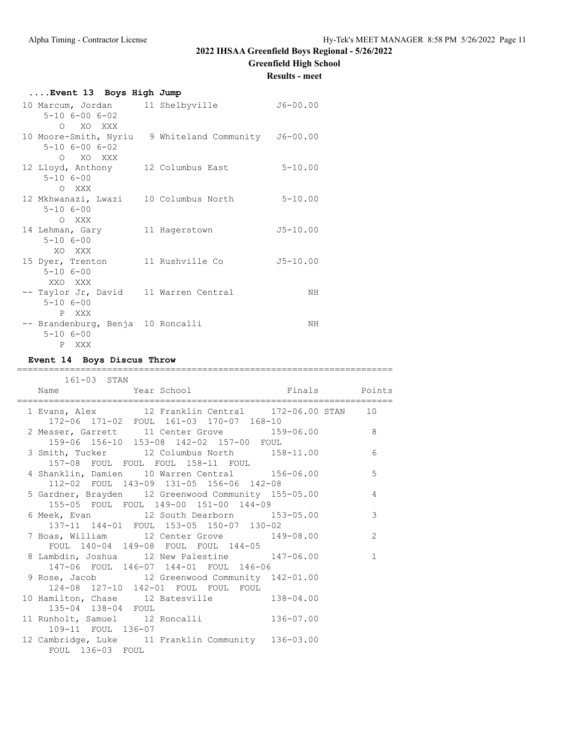**Greenfield High School**

**Results - meet**

| Event 13 Boys High Jump                                                                        |  |              |
|------------------------------------------------------------------------------------------------|--|--------------|
| 10 Marcum, Jordan 11 Shelbyville<br>$5 - 10$ $6 - 00$ $6 - 02$                                 |  | $J6 - 00.00$ |
| O XO XXX<br>10 Moore-Smith, Nyriu 9 Whiteland Community J6-00.00<br>$5 - 10$ $6 - 00$ $6 - 02$ |  |              |
| O XO XXX<br>12 Lloyd, Anthony 12 Columbus East<br>$5 - 106 - 00$<br>O XXX                      |  | $5 - 10.00$  |
| 12 Mkhwanazi, Lwazi 10 Columbus North<br>$5 - 106 - 00$<br>O XXX                               |  | $5 - 10.00$  |
| 14 Lehman, Gary 11 Hagerstown<br>$5 - 106 - 00$<br>XO XXX                                      |  | $J5 - 10.00$ |
| 15 Dyer, Trenton 11 Rushville Co<br>$5 - 106 - 00$<br>XXO XXX                                  |  | $J5 - 10.00$ |
| -- Taylor Jr, David 11 Warren Central<br>$5 - 106 - 00$<br>P XXX                               |  | NH           |
| -- Brandenburg, Benja 10 Roncalli<br>$5 - 106 - 00$<br>P XXX                                   |  | NH           |

## **Event 14 Boys Discus Throw**

#### =======================================================================  $161 - 03$  CTNN

| LOLTU3 STAN<br>Name Year School Finals Points                                                  |                |
|------------------------------------------------------------------------------------------------|----------------|
| 1 Evans, Alex 12 Franklin Central 172-06.00 STAN 10<br>172-06 171-02 FOUL 161-03 170-07 168-10 |                |
| 2 Messer, Garrett 11 Center Grove 159-06.00 8<br>159-06 156-10 153-08 142-02 157-00 FOUL       |                |
| 3 Smith, Tucker 12 Columbus North 158-11.00<br>157-08 FOUL FOUL FOUL 158-11 FOUL               | 6              |
| 4 Shanklin, Damien 10 Warren Central 156-06.00<br>112-02 FOUL 143-09 131-05 156-06 142-08      | 5              |
| 5 Gardner, Brayden 12 Greenwood Community 155-05.00<br>155-05 FOUL FOUL 149-00 151-00 144-09   | $\overline{4}$ |
| 6 Meek, Evan 12 South Dearborn 153-05.00<br>137-11 144-01 FOUL 153-05 150-07 130-02            | 3              |
| 7 Boas, William 12 Center Grove 149-08.00<br>FOUL 140-04 149-08 FOUL FOUL 144-05               | 2              |
| 8 Lambdin, Joshua 12 New Palestine 147-06.00<br>147-06 FOUL 146-07 144-01 FOUL 146-06          | $\mathbf{1}$   |
| 9 Rose, Jacob 12 Greenwood Community 142-01.00<br>124-08 127-10 142-01 FOUL FOUL FOUL          |                |
| 10 Hamilton, Chase 12 Batesville 138-04.00<br>135-04 138-04 FOUL                               |                |
| 11 Runholt, Samuel 12 Roncalli 136-07.00<br>109-11 FOUL 136-07                                 |                |
| 12 Cambridge, Luke 11 Franklin Community 136-03.00<br>FOUL 136-03 FOUL                         |                |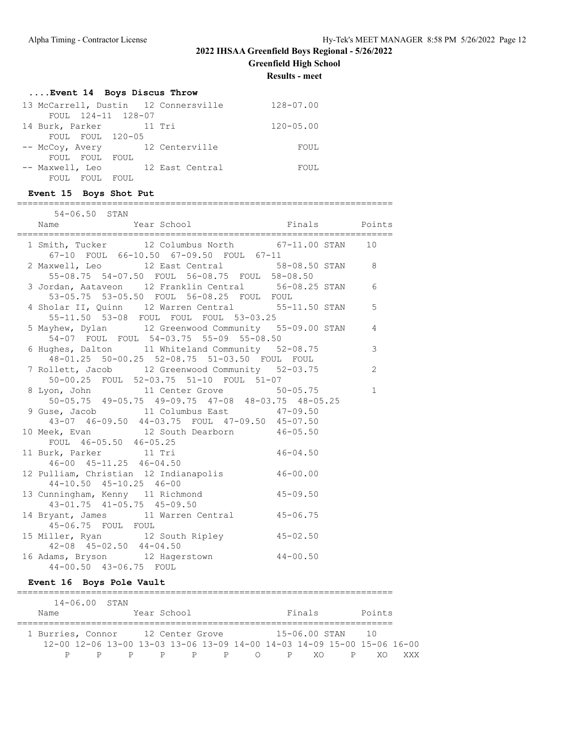**Greenfield High School**

**Results - meet**

## **....Event 14 Boys Discus Throw**

| 13 McCarrell, Dustin 12 Connersville | 128-07.00     |
|--------------------------------------|---------------|
| FOUL 124-11 128-07                   |               |
| 14 Burk, Parker 11 Tri               | $120 - 05.00$ |
| FOUL FOUL 120-05                     |               |
| -- McCoy, Avery 12 Centerville       | FOUL          |
| FOUL FOUL FOUL                       |               |
| -- Maxwell, Leo 12 East Central      | FOUL          |
| FOUL FOUL FOUL                       |               |

### **Event 15 Boys Shot Put**

| $54 - 06.50$ STAN                                                                                 |              |               |
|---------------------------------------------------------------------------------------------------|--------------|---------------|
| Name Year School Finals Points<br>Expresses Points Press, and the Manne Year School Finals        |              |               |
| 1 Smith, Tucker 12 Columbus North 67-11.00 STAN 10                                                |              |               |
| 67-10 FOUL 66-10.50 67-09.50 FOUL 67-11                                                           |              |               |
| 2 Maxwell, Leo 12 East Central 58-08.50 STAN 8                                                    |              |               |
| 55-08.75 54-07.50 FOUL 56-08.75 FOUL 58-08.50                                                     |              |               |
| 3 Jordan, Aataveon 12 Franklin Central 56-08.25 STAN 6                                            |              |               |
| 53-05.75    53-05.50    FOUL    56-08.25    FOUL    FOUL                                          |              |               |
| 4 Sholar II, Quinn 12 Warren Central 55-11.50 STAN                                                |              | 5             |
| 55-11.50 53-08 FOUL FOUL FOUL 53-03.25                                                            |              |               |
| 5 Mayhew, Dylan 12 Greenwood Community 55-09.00 STAN 4                                            |              |               |
| 54-07 FOUL FOUL 54-03.75 55-09 55-08.50                                                           |              | $\mathcal{S}$ |
| 6 Hughes, Dalton 11 Whiteland Community 52-08.75<br>48-01.25 50-00.25 52-08.75 51-03.50 FOUL FOUL |              |               |
| 7 Rollett, Jacob 12 Greenwood Community 52-03.75                                                  |              | 2             |
| 50-00.25 FOUL 52-03.75 51-10 FOUL 51-07                                                           |              |               |
| 8 Lyon, John 11 Center Grove 50-05.75                                                             |              | $\mathbf{1}$  |
| 50-05.75 49-05.75 49-09.75 47-08 48-03.75 48-05.25                                                |              |               |
| 9 Guse, Jacob 11 Columbus East 47-09.50                                                           |              |               |
| 43-07 46-09.50 44-03.75 FOUL 47-09.50 45-07.50                                                    |              |               |
| 10 Meek, Evan 12 South Dearborn 46-05.50                                                          |              |               |
|                                                                                                   |              |               |
| FOUL 46-05.50 46-05.25<br>11 Burk, Parker 11 Tri                                                  | $46 - 04.50$ |               |
| $46 - 00$ $45 - 11.25$ $46 - 04.50$                                                               |              |               |
| 12 Pulliam, Christian 12 Indianapolis 46-00.00                                                    |              |               |
| 44-10.50 45-10.25 46-00<br>13 Cunningham, Kenny 11 Richmond 45-09.50                              |              |               |
| 43-01.75 41-05.75 45-09.50                                                                        |              |               |
| 14 Bryant, James 11 Warren Central 45-06.75                                                       |              |               |
| 45-06.75 FOUL FOUL                                                                                |              |               |
| 15 Miller, Ryan 12 South Ripley 45-02.50                                                          |              |               |
| $42-08$ $45-02.50$ $44-04.50$                                                                     |              |               |
| 16 Adams, Bryson 12 Hagerstown 44-00.50                                                           |              |               |
| 44-00.50 43-06.75 FOUL                                                                            |              |               |

# **Event 16 Boys Pole Vault**

|                                   | $14 - 06.00$ STAN                                                       |  |             |  |         |           |             |               |                 |     |
|-----------------------------------|-------------------------------------------------------------------------|--|-------------|--|---------|-----------|-------------|---------------|-----------------|-----|
| Name                              |                                                                         |  | Year School |  |         |           |             | Finals        | Points          |     |
| 1 Burries, Connor 12 Center Grove |                                                                         |  |             |  |         |           |             | 15-06.00 STAN | $\overline{10}$ |     |
|                                   | 12-00 12-06 13-00 13-03 13-06 13-09 14-00 14-03 14-09 15-00 15-06 16-00 |  |             |  |         |           |             |               |                 |     |
|                                   |                                                                         |  |             |  | p p p p | $\bigcap$ | $\mathbf P$ | - XO          | XΟ              | XXX |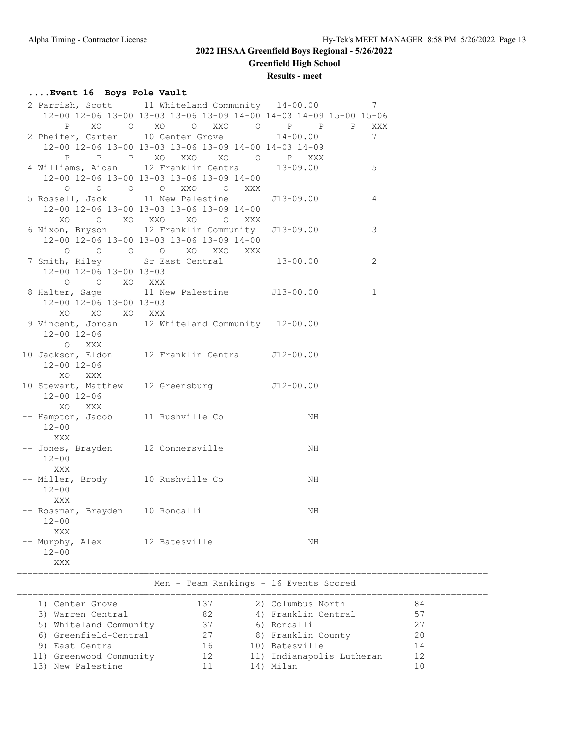# **2022 IHSAA Greenfield Boys Regional - 5/26/2022 Greenfield High School**

**Results - meet**

## **....Event 16 Boys Pole Vault**

|                                                    | 2 Parrish, Scott 11 Whiteland Community 14-00.00                  |              | 7               |
|----------------------------------------------------|-------------------------------------------------------------------|--------------|-----------------|
|                                                    | 12-00 12-06 13-00 13-03 13-06 13-09 14-00 14-03 14-09 15-00 15-06 |              |                 |
| XO<br>P                                            | O XO O XXO O P P P                                                |              | XXX             |
|                                                    | 2 Pheifer, Carter 10 Center Grove 14-00.00                        |              | $7\phantom{.0}$ |
|                                                    | 12-00 12-06 13-00 13-03 13-06 13-09 14-00 14-03 14-09             |              |                 |
| $\mathbb{P}$<br>P                                  | P XO XXO XO O P XXX                                               |              |                 |
|                                                    | 4 Williams, Aidan 12 Franklin Central                             | $13 - 09.00$ | 5               |
|                                                    | 12-00 12-06 13-00 13-03 13-06 13-09 14-00                         |              |                 |
| $\begin{matrix} 0 & 0 & 0 \end{matrix}$<br>$\circ$ | XXO<br>$\overline{O}$<br>XXX                                      |              |                 |
|                                                    |                                                                   |              |                 |
|                                                    | 5 Rossell, Jack 11 New Palestine                                  | J13-09.00    | 4               |
|                                                    | 12-00 12-06 13-00 13-03 13-06 13-09 14-00                         |              |                 |
| XO                                                 | O XO XXO XO O<br>XXX                                              |              |                 |
|                                                    | 6 Nixon, Bryson 12 Franklin Community J13-09.00                   |              | 3               |
|                                                    | 12-00 12-06 13-00 13-03 13-06 13-09 14-00                         |              |                 |
|                                                    | $O$ $O$ $O$ $O$ $XO$ $XXO$<br>XXX                                 |              |                 |
|                                                    | 7 Smith, Riley Sr East Central 13-00.00                           |              | 2               |
| 12-00 12-06 13-00 13-03                            |                                                                   |              |                 |
|                                                    |                                                                   |              |                 |
|                                                    | 0 0 XO XXX<br>8 Halter, Sage 11 New Palestine 513-00.00           |              | $\mathbf{1}$    |
| 12-00 12-06 13-00 13-03                            |                                                                   |              |                 |
| XO<br>XO XO XXX                                    |                                                                   |              |                 |
|                                                    | 9 Vincent, Jordan 12 Whiteland Community 12-00.00                 |              |                 |
| $12 - 00$ $12 - 06$                                |                                                                   |              |                 |
| O XXX                                              |                                                                   |              |                 |
|                                                    | 10 Jackson, Eldon 12 Franklin Central J12-00.00                   |              |                 |
|                                                    |                                                                   |              |                 |
| $12 - 00$ $12 - 06$                                |                                                                   |              |                 |
| XXX<br>XO                                          |                                                                   |              |                 |
|                                                    | 10 Stewart, Matthew 12 Greensburg 512-00.00                       |              |                 |
| 12-00 12-06                                        |                                                                   |              |                 |
| XO<br>XXX                                          |                                                                   |              |                 |
| -- Hampton, Jacob 11 Rushville Co                  |                                                                   | NH           |                 |
| $12 - 00$                                          |                                                                   |              |                 |
| XXX                                                |                                                                   |              |                 |
| -- Jones, Brayden 12 Connersville                  |                                                                   | NH           |                 |
| $12 - 00$                                          |                                                                   |              |                 |
| XXX                                                |                                                                   |              |                 |
| -- Miller, Brody 10 Rushville Co                   |                                                                   | NH           |                 |
| $12 - 00$                                          |                                                                   |              |                 |
| XXX                                                |                                                                   |              |                 |
|                                                    |                                                                   |              |                 |
| -- Rossman, Brayden 10 Roncalli                    |                                                                   | NH           |                 |
| $12 - 00$                                          |                                                                   |              |                 |
| XXX                                                |                                                                   |              |                 |
| -- Murphy, Alex                                    | 12 Batesville                                                     | NH           |                 |
| $12 - 00$                                          |                                                                   |              |                 |
| XXX                                                |                                                                   |              |                 |
|                                                    |                                                                   |              |                 |
|                                                    | Men - Team Rankings - 16 Events Scored                            |              |                 |
|                                                    |                                                                   |              |                 |

| 1) Center Grove         | 137 | 2) Columbus North         | 84 |  |
|-------------------------|-----|---------------------------|----|--|
| 3) Warren Central       | 82  | 4) Franklin Central       | 57 |  |
| 5) Whiteland Community  | 37  | 6) Roncalli               | 27 |  |
| 6) Greenfield-Central   | 27  | 8) Franklin County        | 20 |  |
| 9) East Central         | 16  | 10) Batesville            | 14 |  |
| 11) Greenwood Community | 12  | 11) Indianapolis Lutheran | 12 |  |
| 13) New Palestine       |     | 14) Milan                 |    |  |